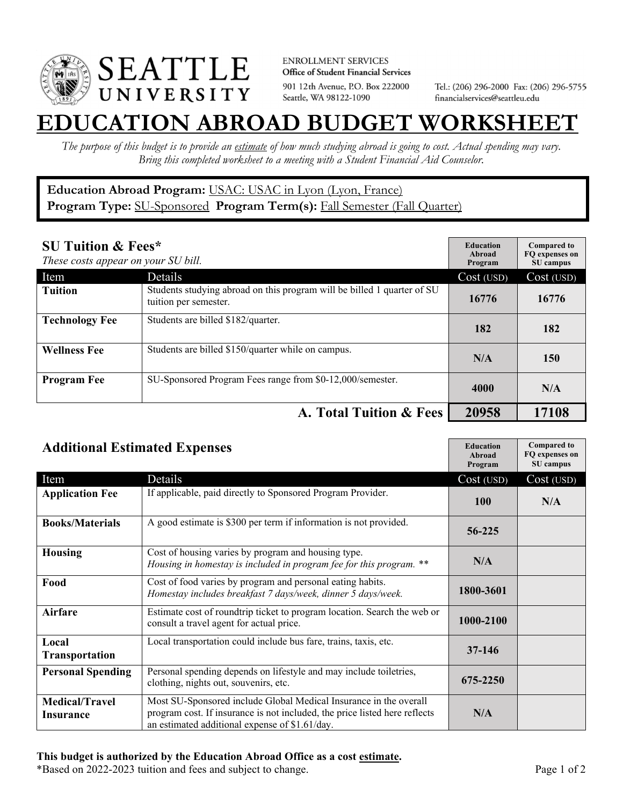

**ENROLLMENT SERVICES** Office of Student Financial Services 901 12th Avenue, P.O. Box 222000 Seattle, WA 98122-1090

Tel.: (206) 296-2000 Fax: (206) 296-5755 financialservices@seattleu.edu

## **EATION ABROAD BUDGET WORKSHEE**

*The purpose of this budget is to provide an estimate of how much studying abroad is going to cost. Actual spending may vary. Bring this completed worksheet to a meeting with a Student Financial Aid Counselor.* 

## **Education Abroad Program:** USAC: USAC in Lyon (Lyon, France) Program Type: **SU-Sponsored** Program Term(s): **Fall Semester (Fall Quarter)**

| <b>SU Tuition &amp; Fees*</b><br>These costs appear on your SU bill. |                                                                                                  | <b>Education</b><br>Abroad<br>Program | <b>Compared to</b><br>FO expenses on<br>SU campus |
|----------------------------------------------------------------------|--------------------------------------------------------------------------------------------------|---------------------------------------|---------------------------------------------------|
| Item                                                                 | Details                                                                                          | Cost (USD)                            | Cost (USD)                                        |
| <b>Tuition</b>                                                       | Students studying abroad on this program will be billed 1 quarter of SU<br>tuition per semester. | 16776                                 | 16776                                             |
| <b>Technology Fee</b>                                                | Students are billed \$182/quarter.                                                               | 182                                   | 182                                               |
| <b>Wellness Fee</b>                                                  | Students are billed \$150/quarter while on campus.                                               | N/A                                   | 150                                               |
| <b>Program Fee</b>                                                   | SU-Sponsored Program Fees range from \$0-12,000/semester.                                        | 4000                                  | N/A                                               |
|                                                                      | A. Total Tuition & Fees                                                                          | 20958                                 | 17108                                             |

| <b>Additional Estimated Expenses</b> |                                                                                                                                                                                                   | <b>Education</b><br><b>Abroad</b><br>Program | <b>Compared to</b><br>FQ expenses on<br>SU campus |
|--------------------------------------|---------------------------------------------------------------------------------------------------------------------------------------------------------------------------------------------------|----------------------------------------------|---------------------------------------------------|
| Item                                 | Details                                                                                                                                                                                           | Cost (USD)                                   | Cost (USD)                                        |
| <b>Application Fee</b>               | If applicable, paid directly to Sponsored Program Provider.                                                                                                                                       | <b>100</b>                                   | N/A                                               |
| <b>Books/Materials</b>               | A good estimate is \$300 per term if information is not provided.                                                                                                                                 | 56-225                                       |                                                   |
| <b>Housing</b>                       | Cost of housing varies by program and housing type.<br>Housing in homestay is included in program fee for this program. **                                                                        | N/A                                          |                                                   |
| Food                                 | Cost of food varies by program and personal eating habits.<br>Homestay includes breakfast 7 days/week, dinner 5 days/week.                                                                        | 1800-3601                                    |                                                   |
| <b>Airfare</b>                       | Estimate cost of roundtrip ticket to program location. Search the web or<br>consult a travel agent for actual price.                                                                              | 1000-2100                                    |                                                   |
| Local<br><b>Transportation</b>       | Local transportation could include bus fare, trains, taxis, etc.                                                                                                                                  | $37 - 146$                                   |                                                   |
| <b>Personal Spending</b>             | Personal spending depends on lifestyle and may include toiletries,<br>clothing, nights out, souvenirs, etc.                                                                                       | 675-2250                                     |                                                   |
| <b>Medical/Travel</b><br>Insurance   | Most SU-Sponsored include Global Medical Insurance in the overall<br>program cost. If insurance is not included, the price listed here reflects<br>an estimated additional expense of \$1.61/day. | N/A                                          |                                                   |

\*Based on 2022-2023 tuition and fees and subject to change. Page 1 of 2